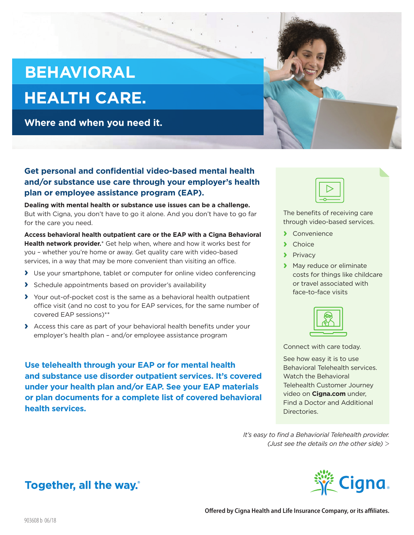## **BEHAVIORAL**

# **HEALTH CARE.**

**Where and when you need it.**



### **Get personal and confidential video-based mental health and/or substance use care through your employer's health plan or employee assistance program (EAP).**

**Dealing with mental health or substance use issues can be a challenge.** But with Cigna, you don't have to go it alone. And you don't have to go far for the care you need.

**Access behavioral health outpatient care or the EAP with a Cigna Behavioral Health network provider.**\* Get help when, where and how it works best for you – whether you're home or away. Get quality care with video-based services, in a way that may be more convenient than visiting an office.

- **›** Use your smartphone, tablet or computer for online video conferencing
- **›** Schedule appointments based on provider's availability
- **›** Your out-of-pocket cost is the same as a behavioral health outpatient office visit (and no cost to you for EAP services, for the same number of covered EAP sessions)\*\*
- **›** Access this care as part of your behavioral health benefits under your employer's health plan – and/or employee assistance program

**Use telehealth through your EAP or for mental health and substance use disorder outpatient services. It's covered under your health plan and/or EAP. See your EAP materials or plan documents for a complete list of covered behavioral health services.** 



The benefits of receiving care through video-based services.

- **›** Convenience
- **›** Choice
- **›** Privacy
- **›** May reduce or eliminate costs for things like childcare or travel associated with face-to-face visits



Connect with care today.

See how easy it is to use Behavioral Telehealth services. Watch the Behavioral Telehealth Customer Journey video on **Cigna.com** under, Find a Doctor and Additional Directories.

*It's easy to find a Behaviorial Telehealth provider. (Just see the details on the other side) >*



## Together, all the way.